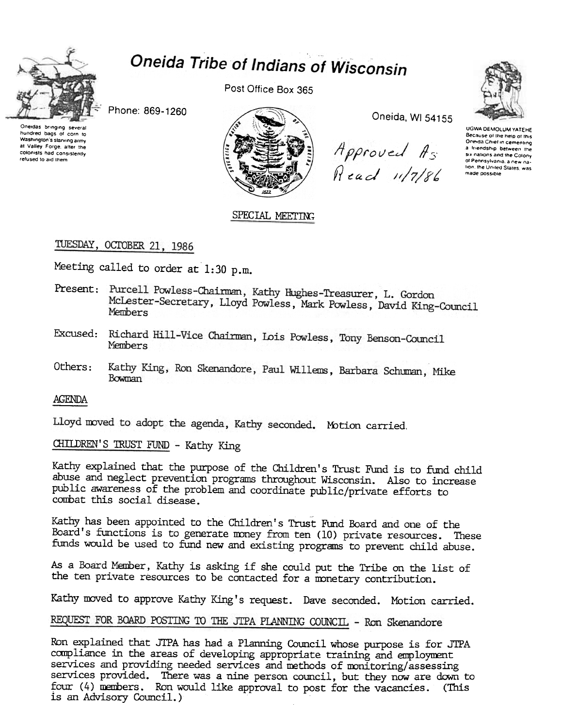

# Oneida Tribe of Indians of Wisconsin

Phone: 869-1260

Oneidas bringing several<br>hundred bags of corn to Washington's starving army at Valley Forge, after the colonists had consistently refused to aid them

Post Office Box 365



Oneida, WI 54155

Approved As Read 11/7/86



UGWA DEMOLUM YATEHE Because of the help of this Oneida Chief in cementing a friendship between the six nations and the Colony of Pennsylvania, a new nation, the United States, was made possible

SPECIAL MEETING

# TUESDAY, OCTOBER 21, 1986

Meeting called to order at 1:30 p.m.

- Present: Purcell Powless-Chairman, Kathy Hughes-Treasurer, L. Gordon McLester-Secretary, Lloyd Powless, Mark Powless, David King-Council Members
- Excused: Richard Hill-Vice Chairman, Lois Powless, Tony Benson-Council Members
- Kathy King, Ron Skenandore, Paul Willems, Barbara Schuman, Mike  $0$ thers $\cdot$ Bowman

## AGENDA

Lloyd moved to adopt the agenda, Kathy seconded. Motion carried.

CHILDREN'S TRUST FUND - Kathy King

Kathy explained that the purpose of the Children's Trust Fund is to fund child abuse and neglect prevention programs throughout Wisconsin. Also to increase public awareness of the problem and coordinate public/private efforts to combat this social disease.

Kathy has been appointed to the Children's Trust Fund Board and one of the Board's functions is to generate money from ten (10) private resources. These funds would be used to fund new and existing programs to prevent child abuse.

As a Board Member, Kathy is asking if she could put the Tribe on the list of the ten private resources to be contacted for a monetary contribution.

Kathy moved to approve Kathy King's request. Dave seconded. Motion carried.

## REQUEST FOR BOARD POSTING TO THE JTPA PLANNING COUNCIL - Ron Skenandore

Ron explained that JTPA has had a Planning Council whose purpose is for JTPA compliance in the areas of developing appropriate training and employment services and providing needed services and methods of monitoring/assessing services provided. There was a nine person council, but they now are down to four (4) members. Ron would like approval to post for the vacancies. (This is an Advisory Council.)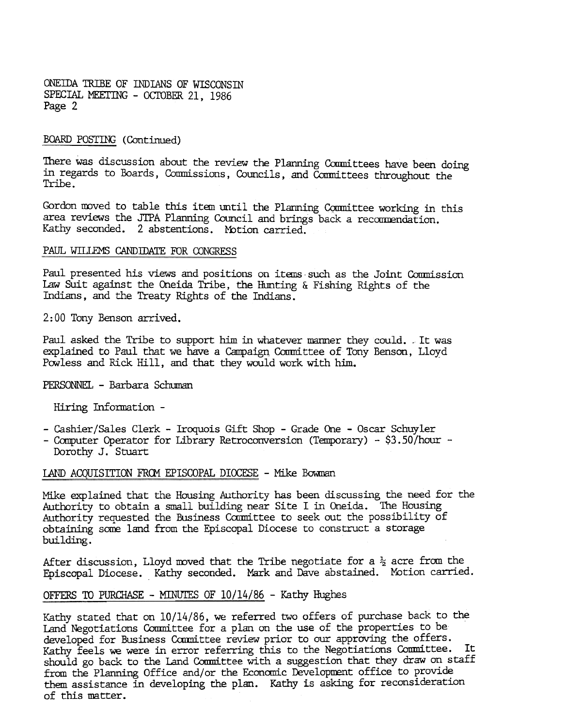ONEillA TRIBE OF INDIANS OF WISCONSIN SPECIAL MEETING - OCTOBER 21, 1986 Page 2

#### POSTING (Continued)

There was discussion about the review the Planning Committees have been doing in regards to Boards, Commissions, Councils, and Committees throughout the Tribe.

Gordon moved to table this item until the Planning Committee working in this area reviews the JTPA Planning Council and brings back a recommendation. Kathy seconded. 2 abstentions. Motion carried.

#### PAUL WILLEMS CANDIDATE FOR CONGRESS

Paul presented his views and positions on items such as the Joint Commission law Suit against the Oneida Tribe, the Hunting & Fishing Rights of the Indians, and the Treaty Rights of the Indians.

2: 00 Tony Benson arrived.

Paul asked the Tribe to support him in whatever manner they could. .It was explained to Paul that we have a Campaign Committee of Tony Benson, Lloyd Powless and Rick Hill, and that they would work with him.

PERSONNEL - Barbara Schuman

Hiring Information -

- Cashier/Sales Clerk Iroquois Gift Shop Grade One Oscar Schuyler
- Computer Operator for Library Retroconversion (Temporary) \$3.50 /hour -Dorothy J. Stuart

LAND ACQUISITION FROM EPISCOPAL DIOCESE - Mike Bowman

Mike explained that the Housing Authority has been discussing the need for the Authority to obtain a small building near Site I in Oneida. The Housing Authority requested the Business Committee to seek out the possibility of obtaining some land from the Episcopal Diocese to construct a storage building.

After discussion, Lloyd moved that the Tribe negotiate for a  $\frac{1}{2}$  acre from the Episcopal Diocese. Kathy seconded. Mark and Dave abstained. Motion carried.

#### OFFERS TO PURCHASE - MINUTES OF  $10/14/86$  - Kathy Hughes

Kathy stated that on 10/14/86, we referred two offers of purchase back to the Land Negotiations Committee for a plan on the use of the properties to be developed for Business Committee review prior to our approving the offers. Kathy feels we were in error referring this to the Negotiations Conmittee. It should go back to the Land Committee with a suggestion that they draw on staff from the Planning Office and/or the Economic Development office to provide them assistance in developing the plan. Kathy is asking for reconsideration of this matter.